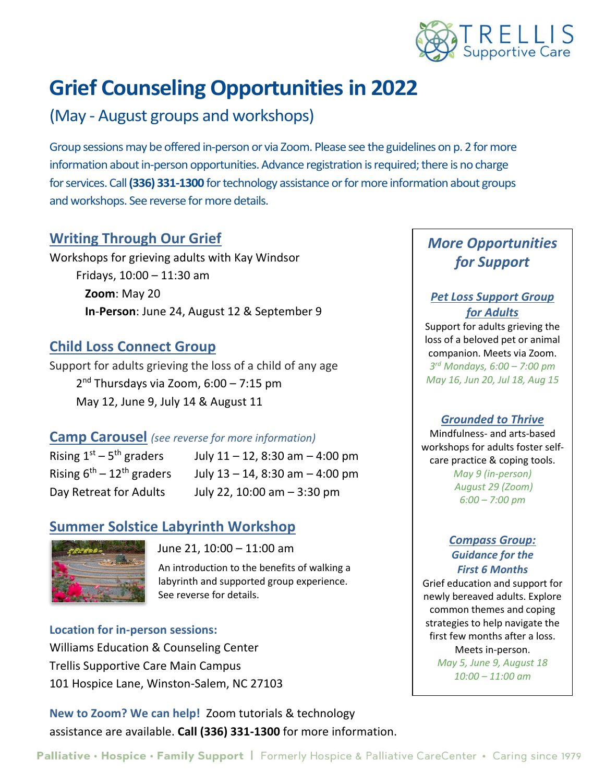

# **Grief Counseling Opportunities in 2022**

## (May - August groups and workshops)

Group sessions may be offered in-person or via Zoom. Please see the guidelines on p. 2 for more information about in-person opportunities. Advance registration is required; there is no charge for services. Call **(336) 331-1300** for technology assistance or for more information about groups and workshops. See reverse for more details.

## **Writing Through Our Grief**

Workshops for grieving adults with Kay Windsor Fridays, 10:00 – 11:30 am **Zoom**: May 20 **In**-**Person**: June 24, August 12 & September 9

## **Child Loss Connect Group**

Support for adults grieving the loss of a child of any age 2 nd Thursdays via Zoom, 6:00 – 7:15 pm May 12, June 9, July 14 & August 11

## **Camp Carousel** *(see reverse for more information)*

Rising  $1^{st}$  –  $5^{th}$  graders

July  $11 - 12$ , 8:30 am  $- 4:00$  pm Rising  $6^{th} - 12^{th}$  graders July 13 – 14, 8:30 am – 4:00 pm Day Retreat for Adults July 22, 10:00 am  $-$  3:30 pm

## **Summer Solstice Labyrinth Workshop**



June 21, 10:00 – 11:00 am

An introduction to the benefits of walking a labyrinth and supported group experience. See reverse for details.

#### **Location for in-person sessions:**

Williams Education & Counseling Center Trellis Supportive Care Main Campus 101 Hospice Lane, Winston-Salem, NC 27103

**New to Zoom? We can help!** Zoom tutorials & technology assistance are available. **Call (336) 331-1300** for more information.

## *More Opportunities for Support*

## *Pet Loss Support Group for Adults*

Support for adults grieving the loss of a beloved pet or animal companion. Meets via Zoom. *3 rd Mondays, 6:00 – 7:00 pm May 16, Jun 20, Jul 18, Aug 15*

### *Grounded to Thrive*

Mindfulness- and arts-based workshops for adults foster selfcare practice & coping tools.

*May 9 (in-person) August 29 (Zoom) 6:00 – 7:00 pm*

#### *Compass Group: Guidance for the First 6 Months*

Grief education and support for newly bereaved adults. Explore common themes and coping strategies to help navigate the first few months after a loss. Meets in-person. *May 5, June 9, August 18 10:00 – 11:00 am*